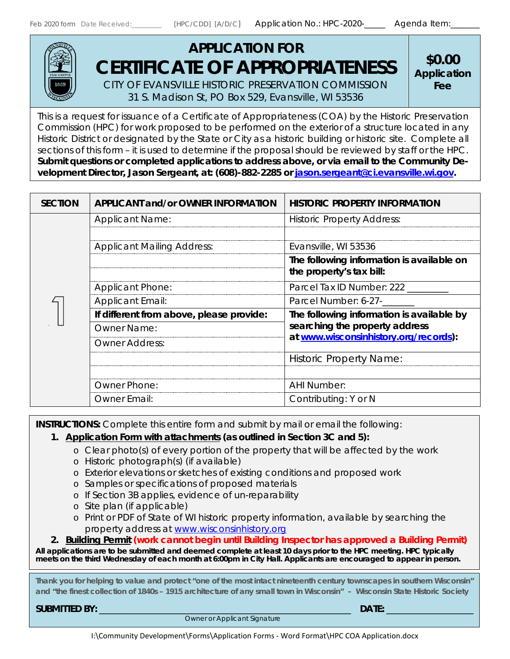

# **APPLICATION FOR** *CERTIFICATE OF APPROPRIATENESS* CITY OF EVANSVILLE HISTORIC PRESERVATION COMMISSION

31 S. Madison St, PO Box 529, Evansville, WI 53536

**\$0.00 Application Fee**

This is a request for issuance of a Certificate of Appropriateness (COA) by the Historic Preservation Commission (HPC) for work proposed to be performed on the exterior of a structure located in any Historic District or designated by the State or City as a historic building or historic site. Complete all sections of this form – it is used to determine if the proposal should be reviewed by staff or the HPC. **Submit questions or completed applications to address above, or via email to the Community Development Director, Jason Sergeant, at: (608)-882-2285 or [jason.sergeant@ci.evansville.wi.gov.](mailto:jason.sergeant@ci.evansville.wi.gov)**

| <b>SECTION</b> | <b>APPLICANT and/or OWNER INFORMATION</b> | <b>HISTORIC PROPERTY INFORMATION</b>                                        |  |  |  |  |  |
|----------------|-------------------------------------------|-----------------------------------------------------------------------------|--|--|--|--|--|
|                | <b>Applicant Name:</b>                    | <b>Historic Property Address:</b>                                           |  |  |  |  |  |
|                |                                           |                                                                             |  |  |  |  |  |
|                | <b>Applicant Mailing Address:</b>         | Evansville, WI 53536                                                        |  |  |  |  |  |
|                |                                           | The following information is available on<br>the property's tax bill:       |  |  |  |  |  |
|                | <b>Applicant Phone:</b>                   | Parcel Tax ID Number: 222                                                   |  |  |  |  |  |
|                | <b>Applicant Email:</b>                   | Parcel Number: 6-27-                                                        |  |  |  |  |  |
|                | If different from above, please provide:  | The following information is available by<br>searching the property address |  |  |  |  |  |
|                | <b>Owner Name:</b>                        |                                                                             |  |  |  |  |  |
|                | Owner Address:                            | at www.wisconsinhistory.org/records):                                       |  |  |  |  |  |
|                |                                           | <b>Historic Property Name:</b>                                              |  |  |  |  |  |
|                |                                           |                                                                             |  |  |  |  |  |
|                | <b>Owner Phone:</b>                       | <b>AHI Number:</b>                                                          |  |  |  |  |  |
|                | Owner Email:                              | Contributing: Y or N                                                        |  |  |  |  |  |

**INSTRUCTIONS:** Complete this entire form and submit by mail or email the following:

#### *1. Application Form with attachments (as outlined in Section 3C and 5):*

- o Clear photo(s) of every portion of the property that will be affected by the work
- o Historic photograph(s) (if available)
- o Exterior elevations or sketches of existing conditions and proposed work
- o Samples or specifications of proposed materials
- o If Section 3B applies, evidence of un-reparability
- o Site plan (if applicable)
- o Print or PDF of State of WI historic property information, available by searching the property address at [www.wisconsinhistory.org](http://www.wisconsinhistory.org/)

#### *2. Building Permit (work cannot begin until Building Inspector has approved a Building Permit)*

**All applications are to be submitted and deemed complete at least 10 days prior to the HPC meeting. HPC typically meets on the third Wednesday of each month at 6:00pm in City Hall. Applicants are encouraged to appear in person.**

**Thank you for helping to value and protect "one of the most intact nineteenth century townscapes in southern Wisconsin" and "the finest collection of 1840s – 1915 architecture of any small town in Wisconsin" – Wisconsin State Historic Society**

**SUBMITTED BY:** \_\_\_\_\_\_\_\_\_\_\_\_\_\_\_\_\_\_\_\_\_\_\_\_\_\_\_\_\_\_\_\_\_\_\_\_\_\_\_\_\_\_\_\_\_\_\_\_\_\_\_\_\_\_\_ **DATE:** \_\_\_\_\_\_\_\_\_\_\_\_\_\_\_\_\_\_\_

 *Owner or Applicant Signature*

I:\Community Development\Forms\Application Forms - Word Format\HPC COA Application.docx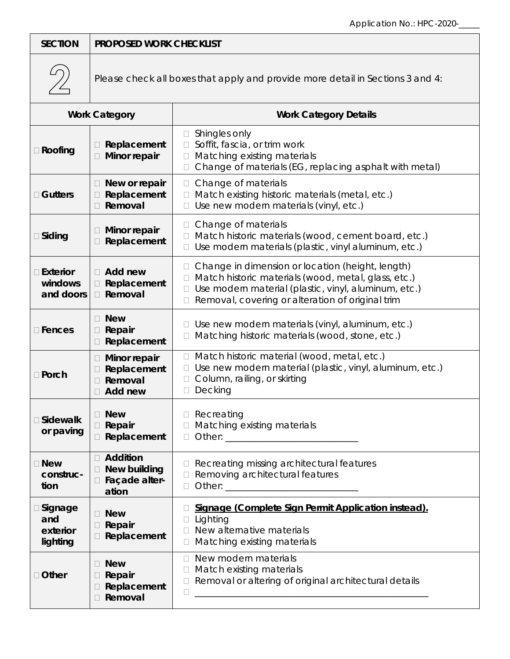| <b>SECTION</b>                           | <b>PROPOSED WORK CHECKLIST</b>                                                                                                                                             |                                                                                                                                                                                                                           |  |  |  |  |  |  |  |
|------------------------------------------|----------------------------------------------------------------------------------------------------------------------------------------------------------------------------|---------------------------------------------------------------------------------------------------------------------------------------------------------------------------------------------------------------------------|--|--|--|--|--|--|--|
|                                          |                                                                                                                                                                            | Please check all boxes that apply and provide more detail in Sections 3 and 4:                                                                                                                                            |  |  |  |  |  |  |  |
|                                          | <b>Work Category</b>                                                                                                                                                       | <b>Work Category Details</b>                                                                                                                                                                                              |  |  |  |  |  |  |  |
| □ Roofing                                | Replacement<br>Minor repair                                                                                                                                                | $\Box$ Shingles only<br>Soffit, fascia, or trim work<br>Matching existing materials<br>П.<br>Change of materials (EG, replacing asphalt with metal)                                                                       |  |  |  |  |  |  |  |
| $\Box$ Gutters                           | Change of materials<br>New or repair<br>П<br>$\Box$<br>Replacement<br>Match existing historic materials (metal, etc.)<br>Removal<br>Use new modern materials (vinyl, etc.) |                                                                                                                                                                                                                           |  |  |  |  |  |  |  |
| $\Box$ Siding                            | Minor repair<br>Replacement                                                                                                                                                | Change of materials<br>Match historic materials (wood, cement board, etc.)<br>$\Box$<br>Use modern materials (plastic, vinyl aluminum, etc.)                                                                              |  |  |  |  |  |  |  |
| $\Box$ Exterior<br>windows<br>and doors  | $\Box$ Add new<br>Replacement<br>Removal                                                                                                                                   | Change in dimension or location (height, length)<br>Match historic materials (wood, metal, glass, etc.)<br>П.<br>Use modern material (plastic, vinyl, aluminum, etc.)<br>Removal, covering or alteration of original trim |  |  |  |  |  |  |  |
| $\square$ Fences                         | □ New<br>Repair<br>Replacement                                                                                                                                             | Use new modern materials (vinyl, aluminum, etc.)<br>Matching historic materials (wood, stone, etc.)                                                                                                                       |  |  |  |  |  |  |  |
| □ Porch                                  | Minor repair<br>П<br>Replacement<br>Removal<br>Add new                                                                                                                     | Match historic material (wood, metal, etc.)<br>П.<br>Use new modern material (plastic, vinyl, aluminum, etc.)<br>Column, railing, or skirting<br>Decking<br>$\Box$                                                        |  |  |  |  |  |  |  |
| □ Sidewalk<br>or paving                  | <b>New</b><br>Repair<br>Replacement<br>П                                                                                                                                   | $\Box$ Recreating<br>Matching existing materials<br>$\Box$                                                                                                                                                                |  |  |  |  |  |  |  |
| □ New<br>construc-<br>tion               | Addition<br><b>New building</b><br>□ Façade alter-<br>ation                                                                                                                | Recreating missing architectural features<br>Removing architectural features<br>$\Box$                                                                                                                                    |  |  |  |  |  |  |  |
| □ Signage<br>and<br>exterior<br>lighting | <b>New</b><br>Repair<br>Replacement                                                                                                                                        | Signage (Complete Sign Permit Application instead).<br>Lighting<br>New alternative materials<br>Matching existing materials<br>$\mathbb{R}^n$                                                                             |  |  |  |  |  |  |  |
| □ Other                                  | <b>New</b><br>Repair<br>Replacement<br>Removal                                                                                                                             | New modern materials<br>П.<br>Match existing materials<br>u.<br>Removal or altering of original architectural details<br>$\Box$                                                                                           |  |  |  |  |  |  |  |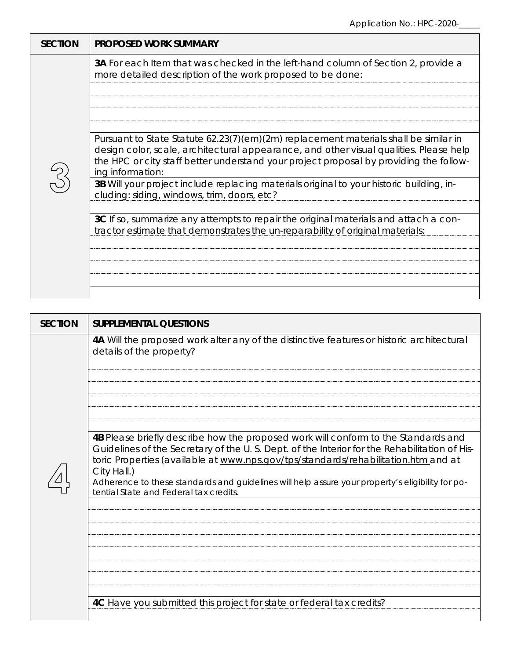| <b>SECTION</b> | <b>PROPOSED WORK SUMMARY</b>                                                                                                                                                                                                                                                                 |
|----------------|----------------------------------------------------------------------------------------------------------------------------------------------------------------------------------------------------------------------------------------------------------------------------------------------|
|                | <b>3A</b> For each Item that was checked in the left-hand column of Section 2, provide a<br>more detailed description of the work proposed to be done:                                                                                                                                       |
|                |                                                                                                                                                                                                                                                                                              |
|                |                                                                                                                                                                                                                                                                                              |
|                |                                                                                                                                                                                                                                                                                              |
|                | Pursuant to State Statute 62.23(7)(em)(2m) replacement materials shall be similar in<br>design color, scale, architectural appearance, and other visual qualities. Please help<br>the HPC or city staff better understand your project proposal by providing the follow-<br>ing information: |
|                | 3B Will your project include replacing materials original to your historic building, in-<br>cluding: siding, windows, trim, doors, etc?                                                                                                                                                      |
|                |                                                                                                                                                                                                                                                                                              |
|                | 3C If so, summarize any attempts to repair the original materials and attach a con-<br>tractor estimate that demonstrates the un-reparability of original materials:                                                                                                                         |
|                |                                                                                                                                                                                                                                                                                              |
|                |                                                                                                                                                                                                                                                                                              |
|                |                                                                                                                                                                                                                                                                                              |
|                |                                                                                                                                                                                                                                                                                              |

| 4A Will the proposed work alter any of the distinctive features or historic architectural<br>details of the property?<br>4B Please briefly describe how the proposed work will conform to the Standards and<br>Guidelines of the Secretary of the U.S. Dept. of the Interior for the Rehabilitation of His-<br>toric Properties (available at www.nps.gov/tps/standards/rehabilitation.htm and at<br>City Hall.)<br>Adherence to these standards and guidelines will help assure your property's eligibility for po-<br>tential State and Federal tax credits. | <b>SECTION</b> | <b>SUPPLEMENTAL QUESTIONS</b>                                        |
|----------------------------------------------------------------------------------------------------------------------------------------------------------------------------------------------------------------------------------------------------------------------------------------------------------------------------------------------------------------------------------------------------------------------------------------------------------------------------------------------------------------------------------------------------------------|----------------|----------------------------------------------------------------------|
|                                                                                                                                                                                                                                                                                                                                                                                                                                                                                                                                                                |                |                                                                      |
|                                                                                                                                                                                                                                                                                                                                                                                                                                                                                                                                                                |                |                                                                      |
|                                                                                                                                                                                                                                                                                                                                                                                                                                                                                                                                                                |                |                                                                      |
|                                                                                                                                                                                                                                                                                                                                                                                                                                                                                                                                                                |                | 4C Have you submitted this project for state or federal tax credits? |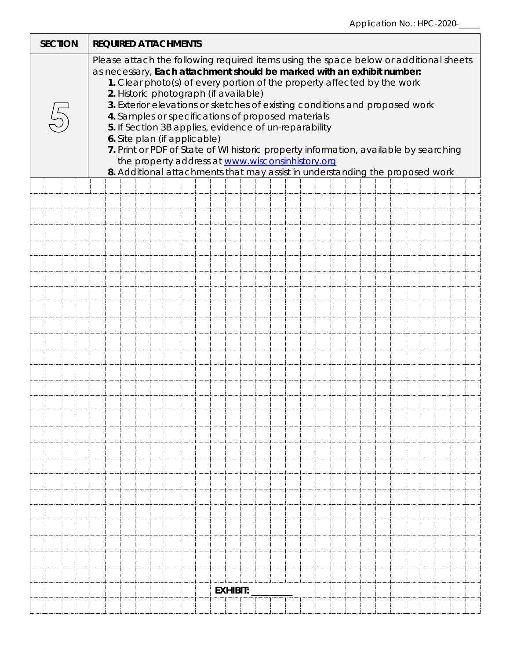| <b>SECTION</b> |  |                                                                                                                                                                                                                                                                                                                                                                                                                                                                                                                                                                                                                                                                                                                                               |  |  |  |  |  | <b>REQUIRED ATTACHMENTS</b> |  |  |                 |  |  |  |  |  |  |  |  |
|----------------|--|-----------------------------------------------------------------------------------------------------------------------------------------------------------------------------------------------------------------------------------------------------------------------------------------------------------------------------------------------------------------------------------------------------------------------------------------------------------------------------------------------------------------------------------------------------------------------------------------------------------------------------------------------------------------------------------------------------------------------------------------------|--|--|--|--|--|-----------------------------|--|--|-----------------|--|--|--|--|--|--|--|--|
|                |  | Please attach the following required items using the space below or additional sheets<br>as necessary, Each attachment should be marked with an exhibit number:<br>1. Clear photo(s) of every portion of the property affected by the work<br>2. Historic photograph (if available)<br>3. Exterior elevations or sketches of existing conditions and proposed work<br>4. Samples or specifications of proposed materials<br>5. If Section 3B applies, evidence of un-reparability<br>6. Site plan (if applicable)<br>7. Print or PDF of State of WI historic property information, available by searching<br>the property address at www.wisconsinhistory.org<br>8. Additional attachments that may assist in understanding the proposed work |  |  |  |  |  |                             |  |  |                 |  |  |  |  |  |  |  |  |
|                |  |                                                                                                                                                                                                                                                                                                                                                                                                                                                                                                                                                                                                                                                                                                                                               |  |  |  |  |  |                             |  |  |                 |  |  |  |  |  |  |  |  |
|                |  |                                                                                                                                                                                                                                                                                                                                                                                                                                                                                                                                                                                                                                                                                                                                               |  |  |  |  |  |                             |  |  |                 |  |  |  |  |  |  |  |  |
|                |  |                                                                                                                                                                                                                                                                                                                                                                                                                                                                                                                                                                                                                                                                                                                                               |  |  |  |  |  |                             |  |  |                 |  |  |  |  |  |  |  |  |
|                |  |                                                                                                                                                                                                                                                                                                                                                                                                                                                                                                                                                                                                                                                                                                                                               |  |  |  |  |  |                             |  |  |                 |  |  |  |  |  |  |  |  |
|                |  |                                                                                                                                                                                                                                                                                                                                                                                                                                                                                                                                                                                                                                                                                                                                               |  |  |  |  |  |                             |  |  |                 |  |  |  |  |  |  |  |  |
|                |  |                                                                                                                                                                                                                                                                                                                                                                                                                                                                                                                                                                                                                                                                                                                                               |  |  |  |  |  |                             |  |  |                 |  |  |  |  |  |  |  |  |
|                |  |                                                                                                                                                                                                                                                                                                                                                                                                                                                                                                                                                                                                                                                                                                                                               |  |  |  |  |  |                             |  |  |                 |  |  |  |  |  |  |  |  |
|                |  |                                                                                                                                                                                                                                                                                                                                                                                                                                                                                                                                                                                                                                                                                                                                               |  |  |  |  |  |                             |  |  |                 |  |  |  |  |  |  |  |  |
|                |  |                                                                                                                                                                                                                                                                                                                                                                                                                                                                                                                                                                                                                                                                                                                                               |  |  |  |  |  |                             |  |  |                 |  |  |  |  |  |  |  |  |
|                |  |                                                                                                                                                                                                                                                                                                                                                                                                                                                                                                                                                                                                                                                                                                                                               |  |  |  |  |  |                             |  |  |                 |  |  |  |  |  |  |  |  |
|                |  |                                                                                                                                                                                                                                                                                                                                                                                                                                                                                                                                                                                                                                                                                                                                               |  |  |  |  |  |                             |  |  |                 |  |  |  |  |  |  |  |  |
|                |  |                                                                                                                                                                                                                                                                                                                                                                                                                                                                                                                                                                                                                                                                                                                                               |  |  |  |  |  |                             |  |  |                 |  |  |  |  |  |  |  |  |
|                |  |                                                                                                                                                                                                                                                                                                                                                                                                                                                                                                                                                                                                                                                                                                                                               |  |  |  |  |  |                             |  |  |                 |  |  |  |  |  |  |  |  |
|                |  |                                                                                                                                                                                                                                                                                                                                                                                                                                                                                                                                                                                                                                                                                                                                               |  |  |  |  |  |                             |  |  |                 |  |  |  |  |  |  |  |  |
|                |  |                                                                                                                                                                                                                                                                                                                                                                                                                                                                                                                                                                                                                                                                                                                                               |  |  |  |  |  |                             |  |  |                 |  |  |  |  |  |  |  |  |
|                |  |                                                                                                                                                                                                                                                                                                                                                                                                                                                                                                                                                                                                                                                                                                                                               |  |  |  |  |  |                             |  |  |                 |  |  |  |  |  |  |  |  |
|                |  |                                                                                                                                                                                                                                                                                                                                                                                                                                                                                                                                                                                                                                                                                                                                               |  |  |  |  |  |                             |  |  |                 |  |  |  |  |  |  |  |  |
|                |  |                                                                                                                                                                                                                                                                                                                                                                                                                                                                                                                                                                                                                                                                                                                                               |  |  |  |  |  |                             |  |  |                 |  |  |  |  |  |  |  |  |
|                |  |                                                                                                                                                                                                                                                                                                                                                                                                                                                                                                                                                                                                                                                                                                                                               |  |  |  |  |  |                             |  |  |                 |  |  |  |  |  |  |  |  |
|                |  |                                                                                                                                                                                                                                                                                                                                                                                                                                                                                                                                                                                                                                                                                                                                               |  |  |  |  |  |                             |  |  |                 |  |  |  |  |  |  |  |  |
|                |  |                                                                                                                                                                                                                                                                                                                                                                                                                                                                                                                                                                                                                                                                                                                                               |  |  |  |  |  |                             |  |  |                 |  |  |  |  |  |  |  |  |
|                |  |                                                                                                                                                                                                                                                                                                                                                                                                                                                                                                                                                                                                                                                                                                                                               |  |  |  |  |  |                             |  |  |                 |  |  |  |  |  |  |  |  |
|                |  |                                                                                                                                                                                                                                                                                                                                                                                                                                                                                                                                                                                                                                                                                                                                               |  |  |  |  |  |                             |  |  |                 |  |  |  |  |  |  |  |  |
|                |  |                                                                                                                                                                                                                                                                                                                                                                                                                                                                                                                                                                                                                                                                                                                                               |  |  |  |  |  |                             |  |  |                 |  |  |  |  |  |  |  |  |
|                |  |                                                                                                                                                                                                                                                                                                                                                                                                                                                                                                                                                                                                                                                                                                                                               |  |  |  |  |  |                             |  |  |                 |  |  |  |  |  |  |  |  |
|                |  |                                                                                                                                                                                                                                                                                                                                                                                                                                                                                                                                                                                                                                                                                                                                               |  |  |  |  |  |                             |  |  |                 |  |  |  |  |  |  |  |  |
|                |  |                                                                                                                                                                                                                                                                                                                                                                                                                                                                                                                                                                                                                                                                                                                                               |  |  |  |  |  |                             |  |  |                 |  |  |  |  |  |  |  |  |
|                |  |                                                                                                                                                                                                                                                                                                                                                                                                                                                                                                                                                                                                                                                                                                                                               |  |  |  |  |  |                             |  |  |                 |  |  |  |  |  |  |  |  |
|                |  |                                                                                                                                                                                                                                                                                                                                                                                                                                                                                                                                                                                                                                                                                                                                               |  |  |  |  |  |                             |  |  |                 |  |  |  |  |  |  |  |  |
|                |  |                                                                                                                                                                                                                                                                                                                                                                                                                                                                                                                                                                                                                                                                                                                                               |  |  |  |  |  |                             |  |  |                 |  |  |  |  |  |  |  |  |
|                |  |                                                                                                                                                                                                                                                                                                                                                                                                                                                                                                                                                                                                                                                                                                                                               |  |  |  |  |  |                             |  |  | <b>EXHIBIT:</b> |  |  |  |  |  |  |  |  |
|                |  |                                                                                                                                                                                                                                                                                                                                                                                                                                                                                                                                                                                                                                                                                                                                               |  |  |  |  |  |                             |  |  |                 |  |  |  |  |  |  |  |  |
|                |  |                                                                                                                                                                                                                                                                                                                                                                                                                                                                                                                                                                                                                                                                                                                                               |  |  |  |  |  |                             |  |  |                 |  |  |  |  |  |  |  |  |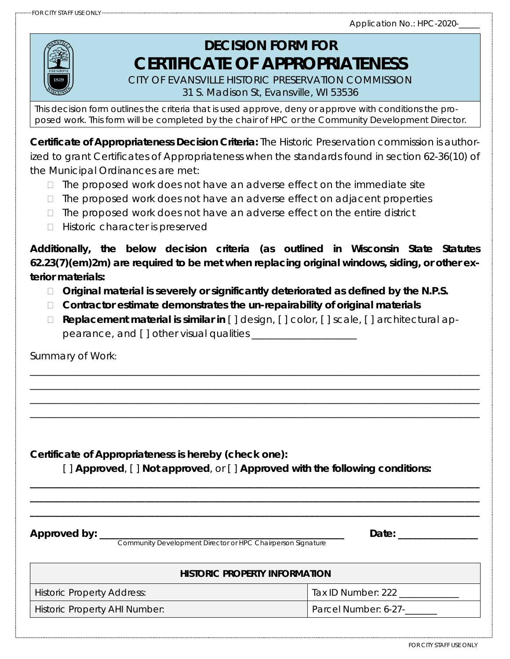

# **DECISION FORM FOR** *CERTIFICATE OF APPROPRIATENESS*

CITY OF EVANSVILLE HISTORIC PRESERVATION COMMISSION 31 S. Madison St, Evansville, WI 53536

*This decision form outlines the criteria that is used approve, deny or approve with conditions the proposed work. This form will be completed by the chair of HPC or the Community Development Director.*

*Certificate of Appropriateness Decision Criteria: The Historic Preservation commission is authorized to grant Certificates of Appropriateness when the standards found in section 62-36(10) of the Municipal Ordinances are met:*

- *The proposed work does not have an adverse effect on the immediate site*
- *The proposed work does not have an adverse effect on adjacent properties*
- *The proposed work does not have an adverse effect on the entire district*
- *Historic character is preserved*

*Additionally, the below decision criteria (as outlined in Wisconsin State Statutes 62.23(7)(em)2m) are required to be met when replacing original windows, siding, or other exterior materials:*

- *Original material is severely or significantly deteriorated as defined by the N.P.S.*
- *Contractor estimate demonstrates the un-repairability of original materials*
- *Replacement material is similar in [ ] design, [ ] color, [ ] scale, [ ] architectural appearance, and [ ] other visual qualities \_\_\_\_\_\_\_\_\_\_\_\_\_\_\_\_\_\_\_\_\_*

\_\_\_\_\_\_\_\_\_\_\_\_\_\_\_\_\_\_\_\_\_\_\_\_\_\_\_\_\_\_\_\_\_\_\_\_\_\_\_\_\_\_\_\_\_\_\_\_\_\_\_\_\_\_\_\_\_\_\_\_\_\_\_\_\_\_\_\_\_\_\_\_\_\_\_\_\_\_\_\_\_\_\_\_\_\_\_\_\_\_ \_\_\_\_\_\_\_\_\_\_\_\_\_\_\_\_\_\_\_\_\_\_\_\_\_\_\_\_\_\_\_\_\_\_\_\_\_\_\_\_\_\_\_\_\_\_\_\_\_\_\_\_\_\_\_\_\_\_\_\_\_\_\_\_\_\_\_\_\_\_\_\_\_\_\_\_\_\_\_\_\_\_\_\_\_\_\_\_\_\_ \_\_\_\_\_\_\_\_\_\_\_\_\_\_\_\_\_\_\_\_\_\_\_\_\_\_\_\_\_\_\_\_\_\_\_\_\_\_\_\_\_\_\_\_\_\_\_\_\_\_\_\_\_\_\_\_\_\_\_\_\_\_\_\_\_\_\_\_\_\_\_\_\_\_\_\_\_\_\_\_\_\_\_\_\_\_\_\_\_\_ \_\_\_\_\_\_\_\_\_\_\_\_\_\_\_\_\_\_\_\_\_\_\_\_\_\_\_\_\_\_\_\_\_\_\_\_\_\_\_\_\_\_\_\_\_\_\_\_\_\_\_\_\_\_\_\_\_\_\_\_\_\_\_\_\_\_\_\_\_\_\_\_\_\_\_\_\_\_\_\_\_\_\_\_\_\_\_\_\_\_

Summary of Work:

**Certificate of Appropriateness is hereby (check one):** 

[ ] **Approved**, [ ] **Not approved**, or [ ] **Approved with the following conditions:** 

**\_\_\_\_\_\_\_\_\_\_\_\_\_\_\_\_\_\_\_\_\_\_\_\_\_\_\_\_\_\_\_\_\_\_\_\_\_\_\_\_\_\_\_\_\_\_\_\_\_\_\_\_\_\_\_\_\_\_\_\_\_\_\_\_\_\_\_\_\_\_\_\_\_\_\_\_\_\_\_\_\_\_\_\_\_\_\_\_\_\_ \_\_\_\_\_\_\_\_\_\_\_\_\_\_\_\_\_\_\_\_\_\_\_\_\_\_\_\_\_\_\_\_\_\_\_\_\_\_\_\_\_\_\_\_\_\_\_\_\_\_\_\_\_\_\_\_\_\_\_\_\_\_\_\_\_\_\_\_\_\_\_\_\_\_\_\_\_\_\_\_\_\_\_\_\_\_\_\_\_\_ \_\_\_\_\_\_\_\_\_\_\_\_\_\_\_\_\_\_\_\_\_\_\_\_\_\_\_\_\_\_\_\_\_\_\_\_\_\_\_\_\_\_\_\_\_\_\_\_\_\_\_\_\_\_\_\_\_\_\_\_\_\_\_\_\_\_\_\_\_\_\_\_\_\_\_\_\_\_\_\_\_\_\_\_\_\_\_\_\_\_**

**Approved by: \_\_\_\_\_\_\_\_\_\_\_\_\_\_\_\_\_\_\_\_\_\_\_\_\_\_\_\_\_\_\_\_\_\_\_\_\_\_\_\_\_\_\_\_\_\_\_\_\_ Date: \_\_\_\_\_\_\_\_\_\_\_\_\_\_\_\_**

 *Community Development Director or HPC Chairperson Signature*

#### **HISTORIC PROPERTY INFORMATION**

Historic Property Address: Tax ID Number: 222 \_\_\_\_\_\_\_\_\_\_\_\_\_

Historic Property AHI Number: 2008 [2016] Parcel Number: 6-27-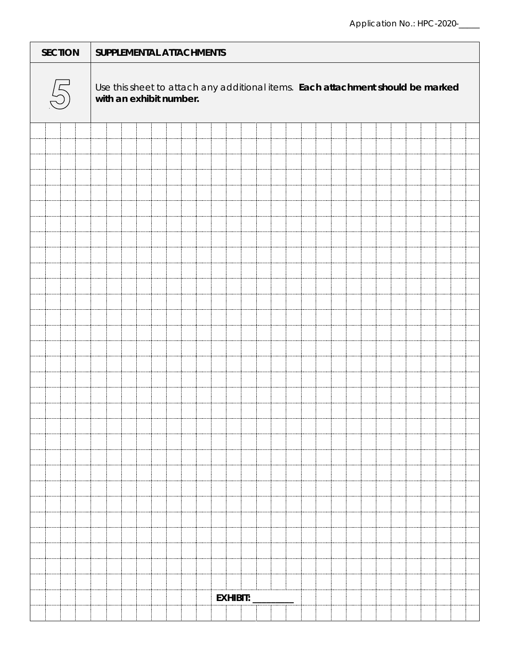|    |  | <b>SECTION</b> |  | SUPPLEMENTAL ATTACHMENTS                                                                                   |  |  |  |  |  |  |  |          |  |  |  |  |  |  |  |  |  |
|----|--|----------------|--|------------------------------------------------------------------------------------------------------------|--|--|--|--|--|--|--|----------|--|--|--|--|--|--|--|--|--|
| 25 |  |                |  | Use this sheet to attach any additional items. Each attachment should be marked<br>with an exhibit number. |  |  |  |  |  |  |  |          |  |  |  |  |  |  |  |  |  |
|    |  |                |  |                                                                                                            |  |  |  |  |  |  |  |          |  |  |  |  |  |  |  |  |  |
|    |  |                |  |                                                                                                            |  |  |  |  |  |  |  |          |  |  |  |  |  |  |  |  |  |
|    |  |                |  |                                                                                                            |  |  |  |  |  |  |  |          |  |  |  |  |  |  |  |  |  |
|    |  |                |  |                                                                                                            |  |  |  |  |  |  |  |          |  |  |  |  |  |  |  |  |  |
|    |  |                |  |                                                                                                            |  |  |  |  |  |  |  |          |  |  |  |  |  |  |  |  |  |
|    |  |                |  |                                                                                                            |  |  |  |  |  |  |  |          |  |  |  |  |  |  |  |  |  |
|    |  |                |  |                                                                                                            |  |  |  |  |  |  |  |          |  |  |  |  |  |  |  |  |  |
|    |  |                |  |                                                                                                            |  |  |  |  |  |  |  |          |  |  |  |  |  |  |  |  |  |
|    |  |                |  |                                                                                                            |  |  |  |  |  |  |  |          |  |  |  |  |  |  |  |  |  |
|    |  |                |  |                                                                                                            |  |  |  |  |  |  |  |          |  |  |  |  |  |  |  |  |  |
|    |  |                |  |                                                                                                            |  |  |  |  |  |  |  |          |  |  |  |  |  |  |  |  |  |
|    |  |                |  |                                                                                                            |  |  |  |  |  |  |  |          |  |  |  |  |  |  |  |  |  |
|    |  |                |  |                                                                                                            |  |  |  |  |  |  |  |          |  |  |  |  |  |  |  |  |  |
|    |  |                |  |                                                                                                            |  |  |  |  |  |  |  |          |  |  |  |  |  |  |  |  |  |
|    |  |                |  |                                                                                                            |  |  |  |  |  |  |  |          |  |  |  |  |  |  |  |  |  |
|    |  |                |  |                                                                                                            |  |  |  |  |  |  |  |          |  |  |  |  |  |  |  |  |  |
|    |  |                |  |                                                                                                            |  |  |  |  |  |  |  |          |  |  |  |  |  |  |  |  |  |
|    |  |                |  |                                                                                                            |  |  |  |  |  |  |  |          |  |  |  |  |  |  |  |  |  |
|    |  |                |  |                                                                                                            |  |  |  |  |  |  |  |          |  |  |  |  |  |  |  |  |  |
|    |  |                |  |                                                                                                            |  |  |  |  |  |  |  |          |  |  |  |  |  |  |  |  |  |
|    |  |                |  |                                                                                                            |  |  |  |  |  |  |  |          |  |  |  |  |  |  |  |  |  |
|    |  |                |  |                                                                                                            |  |  |  |  |  |  |  |          |  |  |  |  |  |  |  |  |  |
|    |  |                |  |                                                                                                            |  |  |  |  |  |  |  |          |  |  |  |  |  |  |  |  |  |
|    |  |                |  |                                                                                                            |  |  |  |  |  |  |  |          |  |  |  |  |  |  |  |  |  |
|    |  |                |  |                                                                                                            |  |  |  |  |  |  |  |          |  |  |  |  |  |  |  |  |  |
|    |  |                |  |                                                                                                            |  |  |  |  |  |  |  |          |  |  |  |  |  |  |  |  |  |
|    |  |                |  |                                                                                                            |  |  |  |  |  |  |  |          |  |  |  |  |  |  |  |  |  |
|    |  |                |  |                                                                                                            |  |  |  |  |  |  |  |          |  |  |  |  |  |  |  |  |  |
|    |  |                |  |                                                                                                            |  |  |  |  |  |  |  |          |  |  |  |  |  |  |  |  |  |
|    |  |                |  |                                                                                                            |  |  |  |  |  |  |  |          |  |  |  |  |  |  |  |  |  |
|    |  |                |  |                                                                                                            |  |  |  |  |  |  |  |          |  |  |  |  |  |  |  |  |  |
|    |  |                |  |                                                                                                            |  |  |  |  |  |  |  |          |  |  |  |  |  |  |  |  |  |
|    |  |                |  |                                                                                                            |  |  |  |  |  |  |  |          |  |  |  |  |  |  |  |  |  |
|    |  |                |  |                                                                                                            |  |  |  |  |  |  |  | EXHIBIT: |  |  |  |  |  |  |  |  |  |
|    |  |                |  |                                                                                                            |  |  |  |  |  |  |  |          |  |  |  |  |  |  |  |  |  |
|    |  |                |  |                                                                                                            |  |  |  |  |  |  |  |          |  |  |  |  |  |  |  |  |  |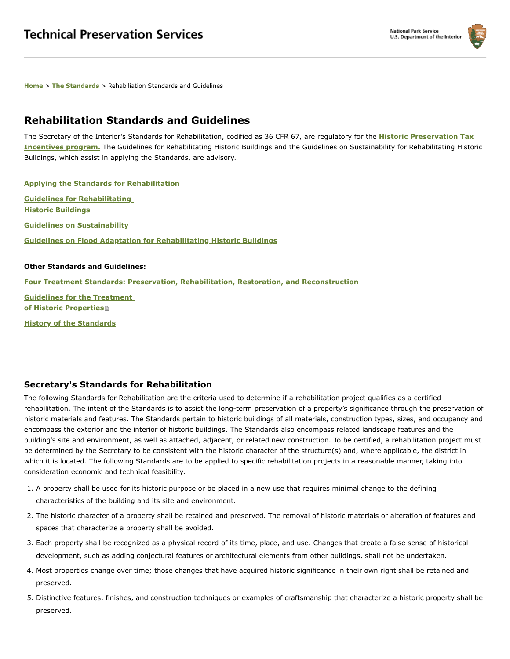

**[Home](https://www.nps.gov/tps/index.htm)** > **[The Standards](https://www.nps.gov/tps/standards.htm)** > Rehabiliation Standards and Guidelines

#### **Rehabilitation Standards and Guidelines**

The Secretary of the Interior's Standards for Rehabilitation, codified as 36 CFR 67, are regulatory for the **[Historic Preservation Tax](https://www.nps.gov/tps/tax-incentives.htm) Incentives program.** The Guidelines for Rehabilitating Historic Buildings and the Guidelines on Sustainability for Rehabilitating Historic Buildings, which assist in applying the Standards, are advisory.

**[Applying the Standards for Rehabilitation](https://www.nps.gov/tps/standards/applying-rehabilitation.htm) [Guidelines for Rehabilitating](https://www.nps.gov/tps/standards/rehabilitation/rehab/index.htm) Historic Buildings [Guidelines on Sustainability](https://www.nps.gov/tps/standards/rehabilitation/guidelines/index.htm) [Guidelines on Flood Adaptation for Rehabilitating Historic Buildings](https://www.nps.gov/tps/standards/rehabilitation/flood-adaptation.htm)**

#### **Other Standards and Guidelines:**

**[Four Treatment Standards: Preservation, Rehabilitation, Restoration, and Reconstruction](https://www.nps.gov/tps/standards/four-treatments.htm)**

**[Guidelines for the Treatment](https://www.nps.gov/tps/standards/treatment-guidelines-2017.pdf) of Historic Properties**

**[History of the Standards](https://www.nps.gov/tps/standards/history-of-standards.htm)**

#### **Secretary's Standards for Rehabilitation**

The following Standards for Rehabilitation are the criteria used to determine if a rehabilitation project qualifies as a certified rehabilitation. The intent of the Standards is to assist the long-term preservation of a property's significance through the preservation of historic materials and features. The Standards pertain to historic buildings of all materials, construction types, sizes, and occupancy and encompass the exterior and the interior of historic buildings. The Standards also encompass related landscape features and the building's site and environment, as well as attached, adjacent, or related new construction. To be certified, a rehabilitation project must be determined by the Secretary to be consistent with the historic character of the structure(s) and, where applicable, the district in which it is located. The following Standards are to be applied to specific rehabilitation projects in a reasonable manner, taking into consideration economic and technical feasibility.

- 1. A property shall be used for its historic purpose or be placed in a new use that requires minimal change to the defining characteristics of the building and its site and environment.
- 2. The historic character of a property shall be retained and preserved. The removal of historic materials or alteration of features and spaces that characterize a property shall be avoided.
- 3. Each property shall be recognized as a physical record of its time, place, and use. Changes that create a false sense of historical development, such as adding conjectural features or architectural elements from other buildings, shall not be undertaken.
- 4. Most properties change over time; those changes that have acquired historic significance in their own right shall be retained and preserved.
- 5. Distinctive features, finishes, and construction techniques or examples of craftsmanship that characterize a historic property shall be preserved.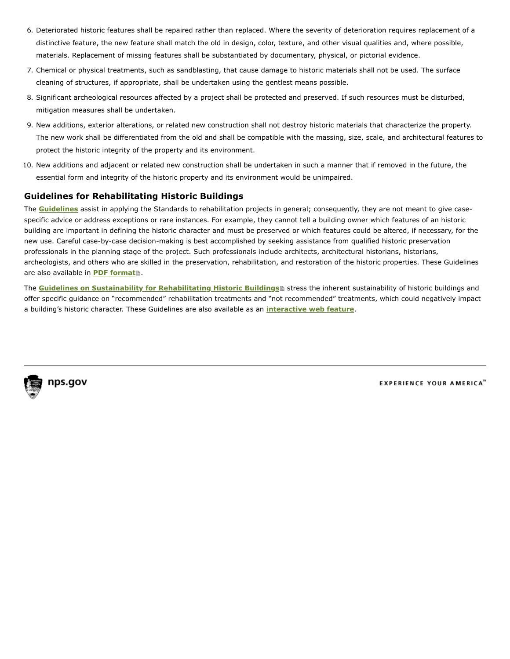- 6. Deteriorated historic features shall be repaired rather than replaced. Where the severity of deterioration requires replacement of a distinctive feature, the new feature shall match the old in design, color, texture, and other visual qualities and, where possible, materials. Replacement of missing features shall be substantiated by documentary, physical, or pictorial evidence.
- 7. Chemical or physical treatments, such as sandblasting, that cause damage to historic materials shall not be used. The surface cleaning of structures, if appropriate, shall be undertaken using the gentlest means possible.
- 8. Significant archeological resources affected by a project shall be protected and preserved. If such resources must be disturbed, mitigation measures shall be undertaken.
- 9. New additions, exterior alterations, or related new construction shall not destroy historic materials that characterize the property. The new work shall be differentiated from the old and shall be compatible with the massing, size, scale, and architectural features to protect the historic integrity of the property and its environment.
- 10. New additions and adjacent or related new construction shall be undertaken in such a manner that if removed in the future, the essential form and integrity of the historic property and its environment would be unimpaired.

#### **Guidelines for Rehabilitating Historic Buildings**

The **[Guidelines](https://www.nps.gov/tps/standards/rehabilitation/rehab/index.htm)** assist in applying the Standards to rehabilitation projects in general; consequently, they are not meant to give casespecific advice or address exceptions or rare instances. For example, they cannot tell a building owner which features of an historic building are important in defining the historic character and must be preserved or which features could be altered, if necessary, for the new use. Careful case-by-case decision-making is best accomplished by seeking assistance from qualified historic preservation professionals in the planning stage of the project. Such professionals include architects, architectural historians, historians, archeologists, and others who are skilled in the preservation, rehabilitation, and restoration of the historic properties. These Guidelines are also available in **[PDF format](https://www.nps.gov/tps/standards/rehabilitation/rehabilitation-guidelines.pdf)**<sup>.</sup>

The **[Guidelines on Sustainability for Rehabilitating Historic Buildings](https://www.nps.gov/tps/standards/rehabilitation/sustainability-guidelines.pdf)** stress the inherent sustainability of historic buildings and offer specific guidance on "recommended" rehabilitation treatments and "not recommended" treatments, which could negatively impact a building's historic character. These Guidelines are also available as an **[interactive web feature](https://www.nps.gov/tps/standards/rehabilitation/guidelines/index.htm)**.



**EXPERIENCE YOUR AMERICA**<sup>14</sup>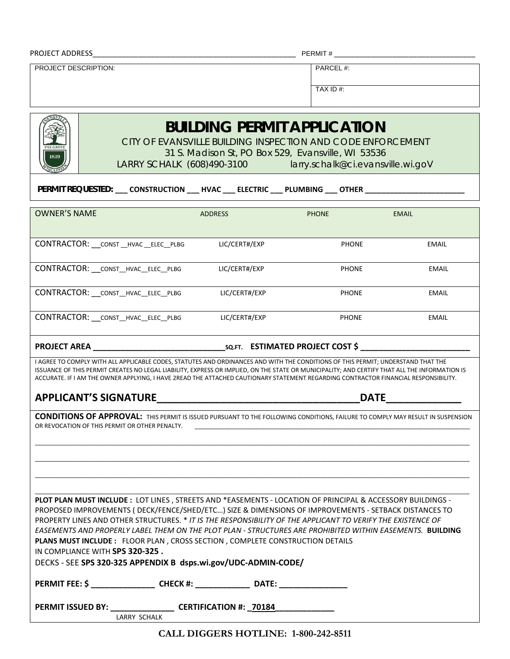| <b>PROJECT ADDRESS</b> |
|------------------------|
|                        |

PROJECT ADDRESS\_\_\_\_\_\_\_\_\_\_\_\_\_\_\_\_\_\_\_\_\_\_\_\_\_\_\_\_\_\_\_\_\_\_\_\_\_\_\_\_\_\_\_\_\_\_\_\_\_ PERMIT # \_\_\_\_\_\_\_\_\_\_\_\_\_\_\_\_\_\_\_\_\_\_\_\_\_\_\_\_\_\_\_\_\_\_

PROJECT DESCRIPTION: PROJECT DESCRIPTION:

TAX ID #:

# *BUILDING PERMIT APPLICATION*

CITY OF EVANSVILLE BUILDING INSPECTION AND CODE ENFORCEMENT

31 S. Madison St, PO Box 529, Evansville, WI 53536

LARRY SCHALK (608)490-3100 larry.schalk@ci.evansville.wi.goV

**PERMIT REQUESTED: \_\_\_ CONSTRUCTION \_\_\_ HVAC \_\_\_ ELECTRIC \_\_\_ PLUMBING \_\_\_ OTHER \_\_\_\_\_\_\_\_\_\_\_\_\_\_\_\_\_\_\_\_\_\_\_\_**

| <b>OWNER'S NAME</b>                        | <b>ADDRESS</b> | <b>PHONE</b> | <b>EMAIL</b> |
|--------------------------------------------|----------------|--------------|--------------|
| CONTRACTOR: __ CONST __ HVAC __ ELEC__PLBG | LIC/CERT#/EXP  | <b>PHONE</b> | <b>EMAIL</b> |
| CONTRACTOR: __ CONST_HVAC_ELEC_PLBG        | LIC/CERT#/EXP  | <b>PHONE</b> | <b>EMAIL</b> |
| CONTRACTOR: __ CONST_HVAC_ELEC_PLBG        | LIC/CERT#/EXP  | <b>PHONE</b> | EMAIL        |
| CONTRACTOR: __ CONST_HVAC_ELEC_PLBG        | LIC/CERT#/EXP  | <b>PHONE</b> | EMAIL        |

**PROJECT AREA \_\_\_\_\_\_\_\_\_\_\_\_\_\_\_\_\_\_\_\_\_\_\_\_\_\_\_\_\_SQ.FT. ESTIMATED PROJECT COST \$ \_\_\_\_\_\_\_\_\_\_\_\_\_\_\_\_\_\_\_\_\_\_\_\_**

I AGREE TO COMPLY WITH ALL APPLICABLE CODES, STATUTES AND ORDINANCES AND WITH THE CONDITIONS OF THIS PERMIT; UNDERSTAND THAT THE ISSUANCE OF THIS PERMIT CREATES NO LEGAL LIABILITY, EXPRESS OR IMPLIED, ON THE STATE OR MUNICIPALITY; AND CERTIFY THAT ALL THE INFORMATION IS ACCURATE. IF I AM THE OWNER APPLYING, I HAVE 2READ THE ATTACHED CAUTIONARY STATEMENT REGARDING CONTRACTOR FINANCIAL RESPONSIBILITY.

#### **APPLICANT'S SIGNATURE\_\_\_\_\_\_\_\_\_\_\_\_\_\_\_\_\_\_\_\_\_\_\_\_\_\_\_\_\_\_\_\_\_\_\_DATE\_\_\_\_\_\_\_\_\_\_\_\_\_**

**CONDITIONS OF APPROVAL:** THIS PERMIT IS ISSUED PURSUANT TO THE FOLLOWING CONDITIONS, FAILURE TO COMPLY MAY RESULT IN SUSPENSION OR REVOCATION OF THIS PERMIT OR OTHER PENALTY.

\_\_\_\_\_\_\_\_\_\_\_\_\_\_\_\_\_\_\_\_\_\_\_\_\_\_\_\_\_\_\_\_\_\_\_\_\_\_\_\_\_\_\_\_\_\_\_\_\_\_\_\_\_\_\_\_\_\_\_\_\_\_\_\_\_\_\_\_\_\_\_\_\_\_\_\_\_\_\_\_\_\_\_\_\_\_\_\_\_\_\_\_\_\_\_\_\_\_\_\_\_\_\_\_\_\_\_\_\_\_\_\_\_\_\_\_\_\_\_\_\_\_\_\_\_\_\_\_\_\_\_ \_\_\_\_\_\_\_\_\_\_\_\_\_\_\_\_\_\_\_\_\_\_\_\_\_\_\_\_\_\_\_\_\_\_\_\_\_\_\_\_\_\_\_\_\_\_\_\_\_\_\_\_\_\_\_\_\_\_\_\_\_\_\_\_\_\_\_\_\_\_\_\_\_\_\_\_\_\_\_\_\_\_\_\_\_\_\_\_\_\_\_\_\_\_\_\_\_\_\_\_\_\_\_\_\_\_\_\_\_\_\_\_\_\_\_\_\_\_\_\_\_\_\_\_\_\_\_\_\_\_\_ \_\_\_\_\_\_\_\_\_\_\_\_\_\_\_\_\_\_\_\_\_\_\_\_\_\_\_\_\_\_\_\_\_\_\_\_\_\_\_\_\_\_\_\_\_\_\_\_\_\_\_\_\_\_\_\_\_\_\_\_\_\_\_\_\_\_\_\_\_\_\_\_\_\_\_\_\_\_\_\_\_\_\_\_\_\_\_\_\_\_\_\_\_\_\_\_\_\_\_\_\_\_\_\_\_\_\_\_\_\_\_\_\_\_\_\_\_\_\_\_\_\_\_\_\_\_\_\_\_\_\_

|                                                                                                           |                                                                               | <b>PLOT PLAN MUST INCLUDE: LOT LINES, STREETS AND *EASEMENTS - LOCATION OF PRINCIPAL &amp; ACCESSORY BUILDINGS -</b> |  |  |  |  |  |  |  |  |
|-----------------------------------------------------------------------------------------------------------|-------------------------------------------------------------------------------|----------------------------------------------------------------------------------------------------------------------|--|--|--|--|--|--|--|--|
| PROPOSED IMPROVEMENTS (DECK/FENCE/SHED/ETC) SIZE & DIMENSIONS OF IMPROVEMENTS - SETBACK DISTANCES TO      |                                                                               |                                                                                                                      |  |  |  |  |  |  |  |  |
|                                                                                                           |                                                                               | PROPERTY LINES AND OTHER STRUCTURES. * IT IS THE RESPONSIBILITY OF THE APPLICANT TO VERIFY THE EXISTENCE OF          |  |  |  |  |  |  |  |  |
| EASEMENTS AND PROPERLY LABEL THEM ON THE PLOT PLAN - STRUCTURES ARE PROHIBITED WITHIN EASEMENTS. BUILDING |                                                                               |                                                                                                                      |  |  |  |  |  |  |  |  |
|                                                                                                           | PLANS MUST INCLUDE : FLOOR PLAN, CROSS SECTION, COMPLETE CONSTRUCTION DETAILS |                                                                                                                      |  |  |  |  |  |  |  |  |
| IN COMPLIANCE WITH SPS 320-325.                                                                           |                                                                               |                                                                                                                      |  |  |  |  |  |  |  |  |
| DECKS - SEE SPS 320-325 APPENDIX B dsps.wi.gov/UDC-ADMIN-CODE/                                            |                                                                               |                                                                                                                      |  |  |  |  |  |  |  |  |
| PERMIT FEE: \$ CHECK #:                                                                                   |                                                                               |                                                                                                                      |  |  |  |  |  |  |  |  |
| PERMIT ISSUED BY: CERTIFICATION #: 70184                                                                  | LARRY SCHALK                                                                  |                                                                                                                      |  |  |  |  |  |  |  |  |